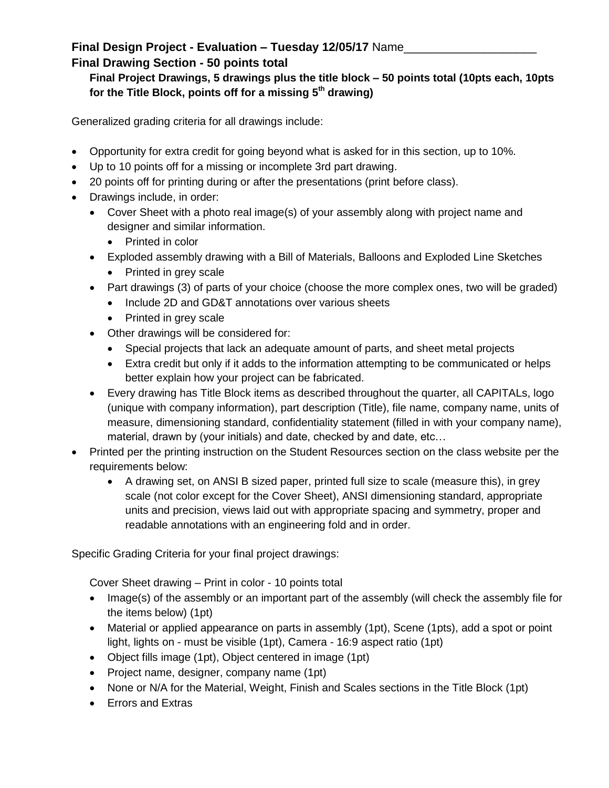## **Final Design Project - Evaluation – Tuesday 12/05/17** Name\_\_\_\_\_\_\_\_\_\_\_\_\_\_\_\_\_\_\_\_ **Final Drawing Section - 50 points total**

## **Final Project Drawings, 5 drawings plus the title block – 50 points total (10pts each, 10pts for the Title Block, points off for a missing 5th drawing)**

Generalized grading criteria for all drawings include:

- Opportunity for extra credit for going beyond what is asked for in this section, up to 10%.
- Up to 10 points off for a missing or incomplete 3rd part drawing.
- 20 points off for printing during or after the presentations (print before class).
- Drawings include, in order:
	- Cover Sheet with a photo real image(s) of your assembly along with project name and designer and similar information.
		- Printed in color
	- Exploded assembly drawing with a Bill of Materials, Balloons and Exploded Line Sketches
		- Printed in grey scale
	- Part drawings (3) of parts of your choice (choose the more complex ones, two will be graded)
		- Include 2D and GD&T annotations over various sheets
		- Printed in grey scale
	- Other drawings will be considered for:
		- Special projects that lack an adequate amount of parts, and sheet metal projects
		- Extra credit but only if it adds to the information attempting to be communicated or helps better explain how your project can be fabricated.
	- Every drawing has Title Block items as described throughout the quarter, all CAPITALs, logo (unique with company information), part description (Title), file name, company name, units of measure, dimensioning standard, confidentiality statement (filled in with your company name), material, drawn by (your initials) and date, checked by and date, etc…
- Printed per the printing instruction on the Student Resources section on the class website per the requirements below:
	- A drawing set, on ANSI B sized paper, printed full size to scale (measure this), in grey scale (not color except for the Cover Sheet), ANSI dimensioning standard, appropriate units and precision, views laid out with appropriate spacing and symmetry, proper and readable annotations with an engineering fold and in order.

Specific Grading Criteria for your final project drawings:

Cover Sheet drawing – Print in color - 10 points total

- Image(s) of the assembly or an important part of the assembly (will check the assembly file for the items below) (1pt)
- Material or applied appearance on parts in assembly (1pt), Scene (1pts), add a spot or point light, lights on - must be visible (1pt), Camera - 16:9 aspect ratio (1pt)
- Object fills image (1pt), Object centered in image (1pt)
- Project name, designer, company name (1pt)
- None or N/A for the Material, Weight, Finish and Scales sections in the Title Block (1pt)
- **Errors and Extras**